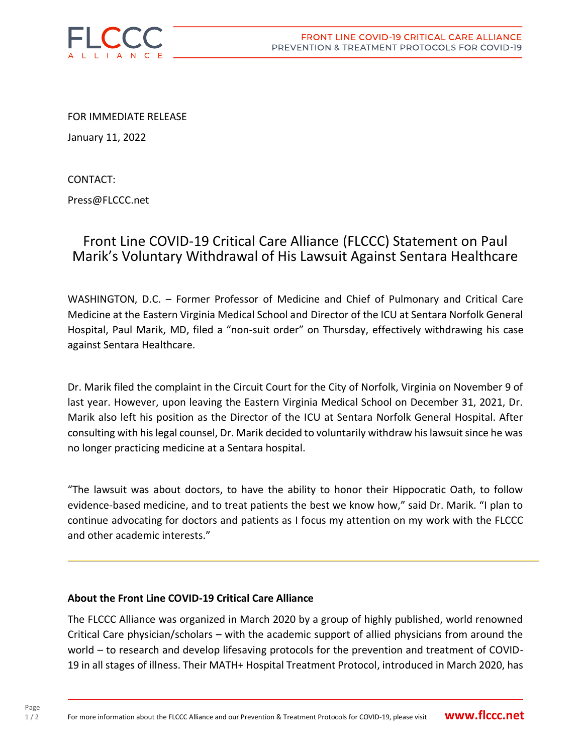

FOR IMMEDIATE RELEASE

January 11, 2022

CONTACT:

Press@FLCCC.net

## Front Line COVID-19 Critical Care Alliance (FLCCC) Statement on Paul Marik's Voluntary Withdrawal of His Lawsuit Against Sentara Healthcare

WASHINGTON, D.C. – Former Professor of Medicine and Chief of Pulmonary and Critical Care Medicine at the Eastern Virginia Medical School and Director of the ICU at Sentara Norfolk General Hospital, Paul Marik, MD, filed a "non-suit order" on Thursday, effectively withdrawing his case against Sentara Healthcare.

Dr. Marik filed the complaint in the Circuit Court for the City of Norfolk, Virginia on November 9 of last year. However, upon leaving the Eastern Virginia Medical School on December 31, 2021, Dr. Marik also left his position as the Director of the ICU at Sentara Norfolk General Hospital. After consulting with his legal counsel, Dr. Marik decided to voluntarily withdraw his lawsuit since he was no longer practicing medicine at a Sentara hospital.

"The lawsuit was about doctors, to have the ability to honor their Hippocratic Oath, to follow evidence-based medicine, and to treat patients the best we know how," said Dr. Marik. "I plan to continue advocating for doctors and patients as I focus my attention on my work with the FLCCC and other academic interests."

## **About the Front Line COVID-19 Critical Care Alliance**

The FLCCC Alliance was organized in March 2020 by a group of highly published, world renowned Critical Care physician/scholars – with the academic support of allied physicians from around the world – to research and develop lifesaving protocols for the prevention and treatment of COVID-19 in all stages of illness. Their MATH+ Hospital Treatment Protocol, introduced in March 2020, has